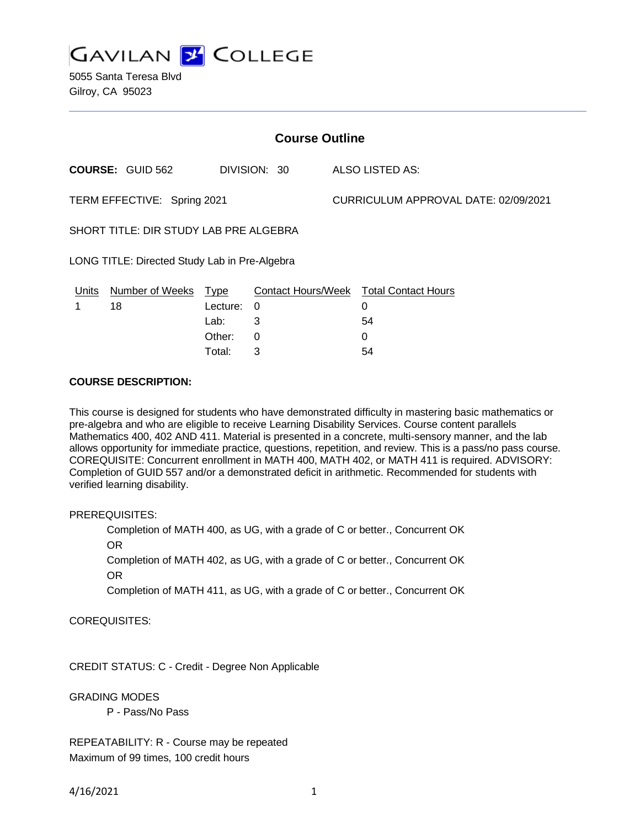**GAVILAN J COLLEGE** 

5055 Santa Teresa Blvd Gilroy, CA 95023

| <b>Course Outline</b>                         |                         |             |              |                                      |                                        |
|-----------------------------------------------|-------------------------|-------------|--------------|--------------------------------------|----------------------------------------|
|                                               | <b>COURSE: GUID 562</b> |             | DIVISION: 30 |                                      | ALSO LISTED AS:                        |
| TERM EFFECTIVE: Spring 2021                   |                         |             |              | CURRICULUM APPROVAL DATE: 02/09/2021 |                                        |
| SHORT TITLE: DIR STUDY LAB PRE ALGEBRA        |                         |             |              |                                      |                                        |
| LONG TITLE: Directed Study Lab in Pre-Algebra |                         |             |              |                                      |                                        |
| Units                                         | <b>Number of Weeks</b>  | <u>Type</u> |              |                                      | Contact Hours/Week Total Contact Hours |
|                                               | 18                      | Lecture:    | $\Omega$     |                                      | 0                                      |
|                                               |                         | Lab:        | 3            |                                      | 54                                     |
|                                               |                         | Other:      | 0            |                                      | 0                                      |
|                                               |                         | Total:      | 3            |                                      | 54                                     |

### **COURSE DESCRIPTION:**

This course is designed for students who have demonstrated difficulty in mastering basic mathematics or pre-algebra and who are eligible to receive Learning Disability Services. Course content parallels Mathematics 400, 402 AND 411. Material is presented in a concrete, multi-sensory manner, and the lab allows opportunity for immediate practice, questions, repetition, and review. This is a pass/no pass course. COREQUISITE: Concurrent enrollment in MATH 400, MATH 402, or MATH 411 is required. ADVISORY: Completion of GUID 557 and/or a demonstrated deficit in arithmetic. Recommended for students with verified learning disability.

PREREQUISITES:

Completion of MATH 400, as UG, with a grade of C or better., Concurrent OK OR Completion of MATH 402, as UG, with a grade of C or better., Concurrent OK

OR

Completion of MATH 411, as UG, with a grade of C or better., Concurrent OK

COREQUISITES:

CREDIT STATUS: C - Credit - Degree Non Applicable

GRADING MODES

P - Pass/No Pass

REPEATABILITY: R - Course may be repeated Maximum of 99 times, 100 credit hours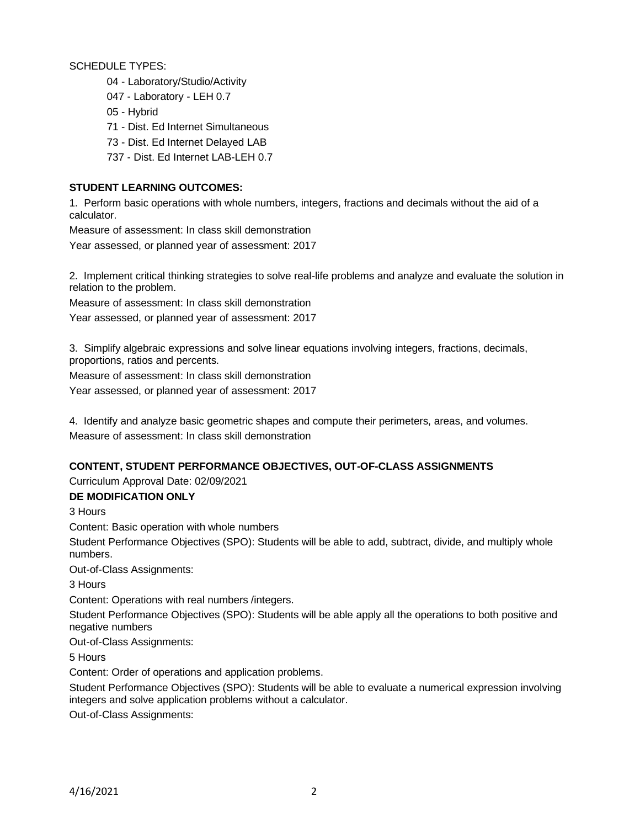SCHEDULE TYPES:

- 04 Laboratory/Studio/Activity
- 047 Laboratory LEH 0.7
- 05 Hybrid
- 71 Dist. Ed Internet Simultaneous
- 73 Dist. Ed Internet Delayed LAB
- 737 Dist. Ed Internet LAB-LEH 0.7

### **STUDENT LEARNING OUTCOMES:**

1. Perform basic operations with whole numbers, integers, fractions and decimals without the aid of a calculator.

Measure of assessment: In class skill demonstration

Year assessed, or planned year of assessment: 2017

2. Implement critical thinking strategies to solve real-life problems and analyze and evaluate the solution in relation to the problem.

Measure of assessment: In class skill demonstration

Year assessed, or planned year of assessment: 2017

3. Simplify algebraic expressions and solve linear equations involving integers, fractions, decimals, proportions, ratios and percents.

Measure of assessment: In class skill demonstration

Year assessed, or planned year of assessment: 2017

4. Identify and analyze basic geometric shapes and compute their perimeters, areas, and volumes. Measure of assessment: In class skill demonstration

#### **CONTENT, STUDENT PERFORMANCE OBJECTIVES, OUT-OF-CLASS ASSIGNMENTS**

Curriculum Approval Date: 02/09/2021

#### **DE MODIFICATION ONLY**

3 Hours

Content: Basic operation with whole numbers

Student Performance Objectives (SPO): Students will be able to add, subtract, divide, and multiply whole numbers.

Out-of-Class Assignments:

3 Hours

Content: Operations with real numbers /integers.

Student Performance Objectives (SPO): Students will be able apply all the operations to both positive and negative numbers

Out-of-Class Assignments:

5 Hours

Content: Order of operations and application problems.

Student Performance Objectives (SPO): Students will be able to evaluate a numerical expression involving integers and solve application problems without a calculator.

Out-of-Class Assignments: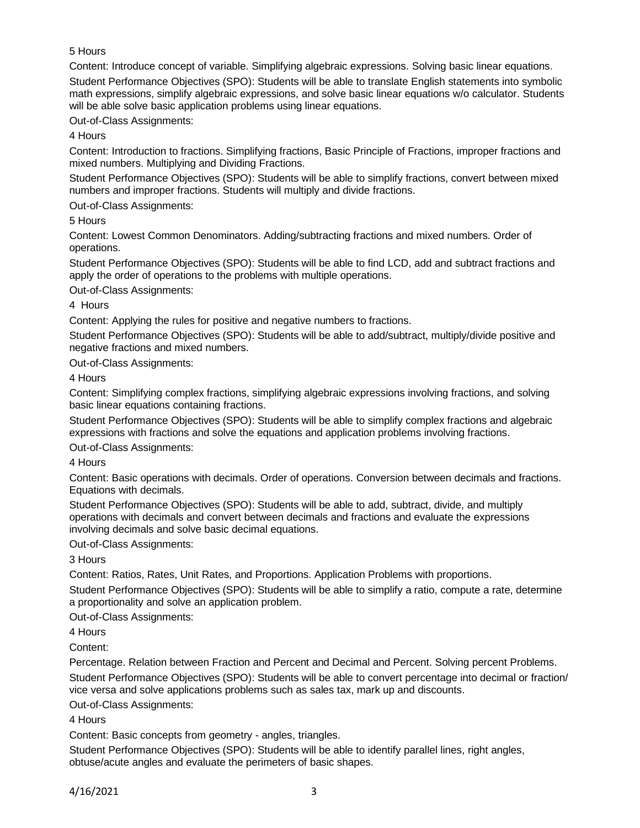# 5 Hours

Content: Introduce concept of variable. Simplifying algebraic expressions. Solving basic linear equations.

Student Performance Objectives (SPO): Students will be able to translate English statements into symbolic math expressions, simplify algebraic expressions, and solve basic linear equations w/o calculator. Students will be able solve basic application problems using linear equations.

Out-of-Class Assignments:

4 Hours

Content: Introduction to fractions. Simplifying fractions, Basic Principle of Fractions, improper fractions and mixed numbers. Multiplying and Dividing Fractions.

Student Performance Objectives (SPO): Students will be able to simplify fractions, convert between mixed numbers and improper fractions. Students will multiply and divide fractions.

Out-of-Class Assignments:

5 Hours

Content: Lowest Common Denominators. Adding/subtracting fractions and mixed numbers. Order of operations.

Student Performance Objectives (SPO): Students will be able to find LCD, add and subtract fractions and apply the order of operations to the problems with multiple operations.

Out-of-Class Assignments:

4 Hours

Content: Applying the rules for positive and negative numbers to fractions.

Student Performance Objectives (SPO): Students will be able to add/subtract, multiply/divide positive and negative fractions and mixed numbers.

Out-of-Class Assignments:

4 Hours

Content: Simplifying complex fractions, simplifying algebraic expressions involving fractions, and solving basic linear equations containing fractions.

Student Performance Objectives (SPO): Students will be able to simplify complex fractions and algebraic expressions with fractions and solve the equations and application problems involving fractions.

Out-of-Class Assignments:

4 Hours

Content: Basic operations with decimals. Order of operations. Conversion between decimals and fractions. Equations with decimals.

Student Performance Objectives (SPO): Students will be able to add, subtract, divide, and multiply operations with decimals and convert between decimals and fractions and evaluate the expressions involving decimals and solve basic decimal equations.

Out-of-Class Assignments:

3 Hours

Content: Ratios, Rates, Unit Rates, and Proportions. Application Problems with proportions.

Student Performance Objectives (SPO): Students will be able to simplify a ratio, compute a rate, determine a proportionality and solve an application problem.

Out-of-Class Assignments:

4 Hours

Content:

Percentage. Relation between Fraction and Percent and Decimal and Percent. Solving percent Problems. Student Performance Objectives (SPO): Students will be able to convert percentage into decimal or fraction/ vice versa and solve applications problems such as sales tax, mark up and discounts.

Out-of-Class Assignments:

4 Hours

Content: Basic concepts from geometry - angles, triangles.

Student Performance Objectives (SPO): Students will be able to identify parallel lines, right angles, obtuse/acute angles and evaluate the perimeters of basic shapes.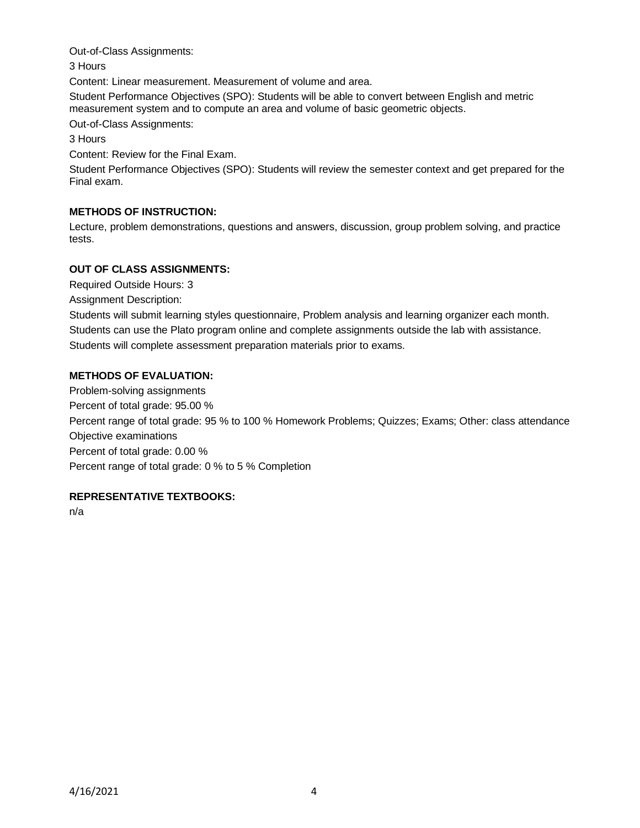Out-of-Class Assignments:

3 Hours

Content: Linear measurement. Measurement of volume and area.

Student Performance Objectives (SPO): Students will be able to convert between English and metric measurement system and to compute an area and volume of basic geometric objects.

Out-of-Class Assignments:

3 Hours

Content: Review for the Final Exam.

Student Performance Objectives (SPO): Students will review the semester context and get prepared for the Final exam.

# **METHODS OF INSTRUCTION:**

Lecture, problem demonstrations, questions and answers, discussion, group problem solving, and practice tests.

# **OUT OF CLASS ASSIGNMENTS:**

Required Outside Hours: 3

Assignment Description:

Students will submit learning styles questionnaire, Problem analysis and learning organizer each month. Students can use the Plato program online and complete assignments outside the lab with assistance. Students will complete assessment preparation materials prior to exams.

# **METHODS OF EVALUATION:**

Problem-solving assignments Percent of total grade: 95.00 % Percent range of total grade: 95 % to 100 % Homework Problems; Quizzes; Exams; Other: class attendance Objective examinations Percent of total grade: 0.00 % Percent range of total grade: 0 % to 5 % Completion

# **REPRESENTATIVE TEXTBOOKS:**

n/a